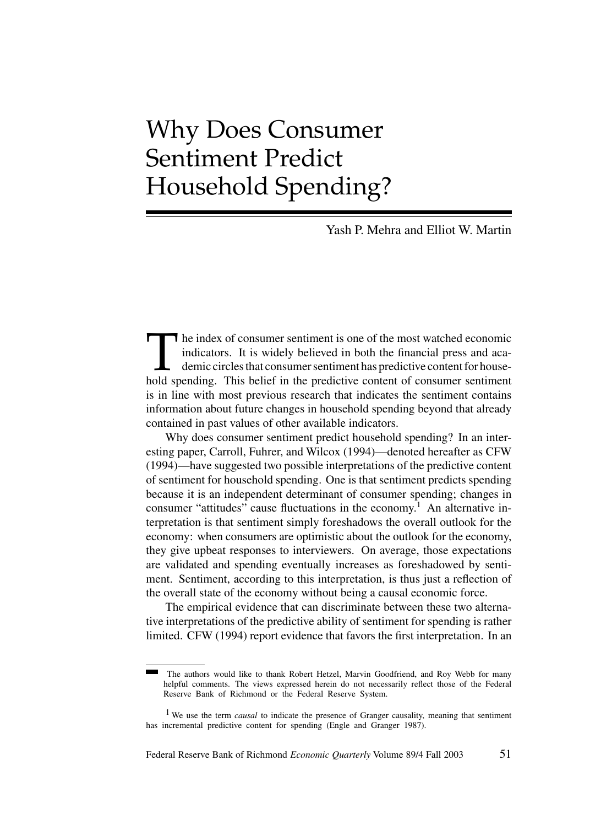# Why Does Consumer Sentiment Predict Household Spending?

Yash P. Mehra and Elliot W. Martin

The index of consumer sentiment is one of the most watched economic indicators. It is widely believed in both the financial press and academic circles that consumer sentiment has predictive content for house-<br>hold spending indicators. It is widely believed in both the financial press and academic circles that consumer sentiment has predictive content for household spending. This belief in the predictive content of consumer sentiment is in line with most previous research that indicates the sentiment contains information about future changes in household spending beyond that already contained in past values of other available indicators.

Why does consumer sentiment predict household spending? In an interesting paper, Carroll, Fuhrer, and Wilcox (1994)—denoted hereafter as CFW (1994)—have suggested two possible interpretations of the predictive content of sentiment for household spending. One is that sentiment predicts spending because it is an independent determinant of consumer spending; changes in consumer "attitudes" cause fluctuations in the economy.<sup>1</sup> An alternative interpretation is that sentiment simply foreshadows the overall outlook for the economy: when consumers are optimistic about the outlook for the economy, they give upbeat responses to interviewers. On average, those expectations are validated and spending eventually increases as foreshadowed by sentiment. Sentiment, according to this interpretation, is thus just a reflection of the overall state of the economy without being a causal economic force.

The empirical evidence that can discriminate between these two alternative interpretations of the predictive ability of sentiment for spending is rather limited. CFW (1994) report evidence that favors the first interpretation. In an

Federal Reserve Bank of Richmond *Economic Quarterly* Volume 89/4 Fall 2003 51

The authors would like to thank Robert Hetzel, Marvin Goodfriend, and Roy Webb for many helpful comments. The views expressed herein do not necessarily reflect those of the Federal Reserve Bank of Richmond or the Federal Reserve System.

<sup>1</sup> We use the term *causal* to indicate the presence of Granger causality, meaning that sentiment has incremental predictive content for spending (Engle and Granger 1987).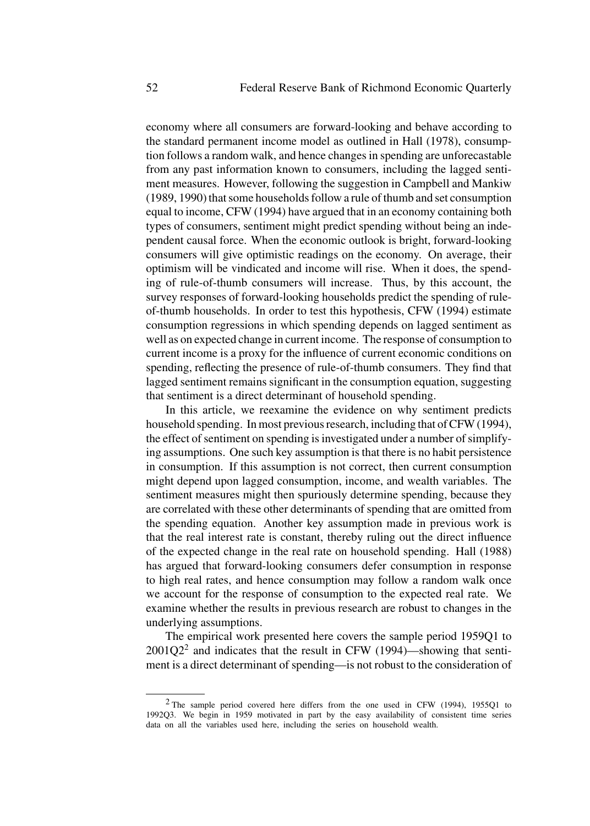economy where all consumers are forward-looking and behave according to the standard permanent income model as outlined in Hall (1978), consumption follows a random walk, and hence changes in spending are unforecastable from any past information known to consumers, including the lagged sentiment measures. However, following the suggestion in Campbell and Mankiw (1989, 1990) that some households follow a rule of thumb and set consumption equal to income, CFW (1994) have argued that in an economy containing both types of consumers, sentiment might predict spending without being an independent causal force. When the economic outlook is bright, forward-looking consumers will give optimistic readings on the economy. On average, their optimism will be vindicated and income will rise. When it does, the spending of rule-of-thumb consumers will increase. Thus, by this account, the survey responses of forward-looking households predict the spending of ruleof-thumb households. In order to test this hypothesis, CFW (1994) estimate consumption regressions in which spending depends on lagged sentiment as well as on expected change in current income. The response of consumption to current income is a proxy for the influence of current economic conditions on spending, reflecting the presence of rule-of-thumb consumers. They find that lagged sentiment remains significant in the consumption equation, suggesting that sentiment is a direct determinant of household spending.

In this article, we reexamine the evidence on why sentiment predicts household spending. In most previous research, including that of CFW (1994), the effect of sentiment on spending is investigated under a number of simplifying assumptions. One such key assumption is that there is no habit persistence in consumption. If this assumption is not correct, then current consumption might depend upon lagged consumption, income, and wealth variables. The sentiment measures might then spuriously determine spending, because they are correlated with these other determinants of spending that are omitted from the spending equation. Another key assumption made in previous work is that the real interest rate is constant, thereby ruling out the direct influence of the expected change in the real rate on household spending. Hall (1988) has argued that forward-looking consumers defer consumption in response to high real rates, and hence consumption may follow a random walk once we account for the response of consumption to the expected real rate. We examine whether the results in previous research are robust to changes in the underlying assumptions.

The empirical work presented here covers the sample period 1959Q1 to  $2001Q2<sup>2</sup>$  and indicates that the result in CFW (1994)—showing that sentiment is a direct determinant of spending—is not robust to the consideration of

<sup>2</sup> The sample period covered here differs from the one used in CFW (1994), 1955Q1 to 1992Q3. We begin in 1959 motivated in part by the easy availability of consistent time series data on all the variables used here, including the series on household wealth.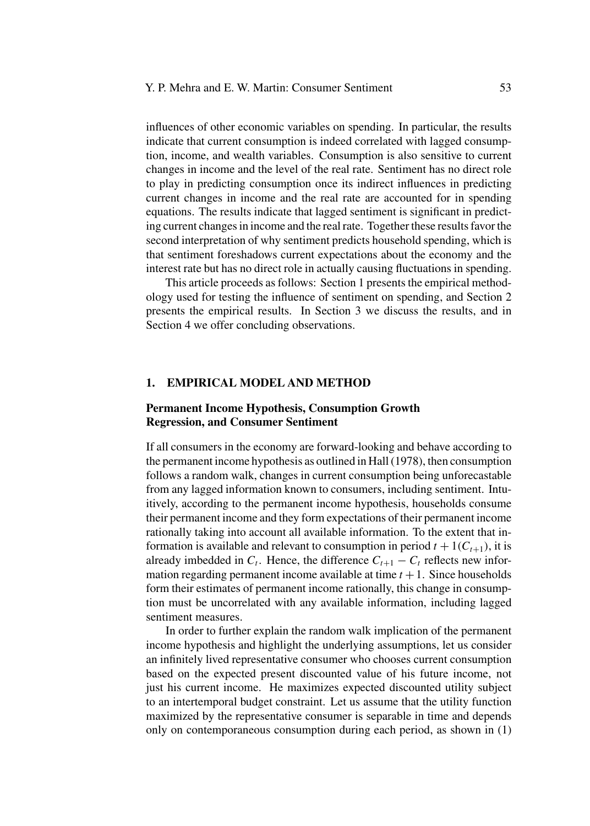influences of other economic variables on spending. In particular, the results indicate that current consumption is indeed correlated with lagged consumption, income, and wealth variables. Consumption is also sensitive to current changes in income and the level of the real rate. Sentiment has no direct role to play in predicting consumption once its indirect influences in predicting current changes in income and the real rate are accounted for in spending equations. The results indicate that lagged sentiment is significant in predicting current changes in income and the real rate. Together these results favor the second interpretation of why sentiment predicts household spending, which is that sentiment foreshadows current expectations about the economy and the interest rate but has no direct role in actually causing fluctuations in spending.

This article proceeds as follows: Section 1 presents the empirical methodology used for testing the influence of sentiment on spending, and Section 2 presents the empirical results. In Section 3 we discuss the results, and in Section 4 we offer concluding observations.

#### **1. EMPIRICAL MODEL AND METHOD**

# **Permanent Income Hypothesis, Consumption Growth Regression, and Consumer Sentiment**

If all consumers in the economy are forward-looking and behave according to the permanent income hypothesis as outlined in Hall (1978), then consumption follows a random walk, changes in current consumption being unforecastable from any lagged information known to consumers, including sentiment. Intuitively, according to the permanent income hypothesis, households consume their permanent income and they form expectations of their permanent income rationally taking into account all available information. To the extent that information is available and relevant to consumption in period  $t + 1(C_{t+1})$ , it is already imbedded in  $C_t$ . Hence, the difference  $C_{t+1} - C_t$  reflects new information regarding permanent income available at time  $t + 1$ . Since households form their estimates of permanent income rationally, this change in consumption must be uncorrelated with any available information, including lagged sentiment measures.

In order to further explain the random walk implication of the permanent income hypothesis and highlight the underlying assumptions, let us consider an infinitely lived representative consumer who chooses current consumption based on the expected present discounted value of his future income, not just his current income. He maximizes expected discounted utility subject to an intertemporal budget constraint. Let us assume that the utility function maximized by the representative consumer is separable in time and depends only on contemporaneous consumption during each period, as shown in (1)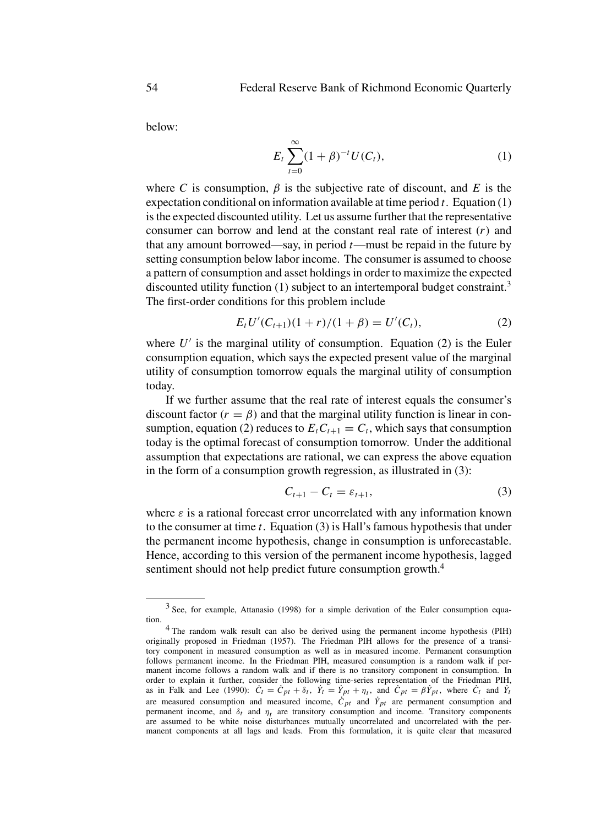below:

$$
E_t \sum_{t=0}^{\infty} (1+\beta)^{-t} U(C_t), \tag{1}
$$

where *C* is consumption,  $\beta$  is the subjective rate of discount, and *E* is the expectation conditional on information available at time period *t*. Equation (1) is the expected discounted utility. Let us assume further that the representative consumer can borrow and lend at the constant real rate of interest (*r)* and that any amount borrowed—say, in period *t*—must be repaid in the future by setting consumption below labor income. The consumer is assumed to choose a pattern of consumption and asset holdings in order to maximize the expected discounted utility function (1) subject to an intertemporal budget constraint.<sup>3</sup> The first-order conditions for this problem include

$$
E_t U'(C_{t+1})(1+r)/(1+\beta) = U'(C_t),
$$
\n(2)

where  $U'$  is the marginal utility of consumption. Equation (2) is the Euler consumption equation, which says the expected present value of the marginal utility of consumption tomorrow equals the marginal utility of consumption today.

If we further assume that the real rate of interest equals the consumer's discount factor  $(r = \beta)$  and that the marginal utility function is linear in consumption, equation (2) reduces to  $E_t C_{t+1} = C_t$ , which says that consumption today is the optimal forecast of consumption tomorrow. Under the additional assumption that expectations are rational, we can express the above equation in the form of a consumption growth regression, as illustrated in (3):

$$
C_{t+1} - C_t = \varepsilon_{t+1},\tag{3}
$$

where  $\varepsilon$  is a rational forecast error uncorrelated with any information known to the consumer at time *t*. Equation (3) is Hall's famous hypothesis that under the permanent income hypothesis, change in consumption is unforecastable. Hence, according to this version of the permanent income hypothesis, lagged sentiment should not help predict future consumption growth.<sup>4</sup>

<sup>3</sup> See, for example, Attanasio (1998) for a simple derivation of the Euler consumption equation.

<sup>&</sup>lt;sup>4</sup> The random walk result can also be derived using the permanent income hypothesis (PIH) originally proposed in Friedman (1957). The Friedman PIH allows for the presence of a transitory component in measured consumption as well as in measured income. Permanent consumption follows permanent income. In the Friedman PIH, measured consumption is a random walk if permanent income follows a random walk and if there is no transitory component in consumption. In order to explain it further, consider the following time-series representation of the Friedman PIH, as in Falk and Lee (1990):  $C_t = C_{pt} + \delta_t$ ,  $Y_t = Y_{pt} + \eta_t$ , and  $C_{pt} = \beta Y_{pt}$ , where  $C_t$  and  $Y_t$ are measured consumption and measured income,  $C_{pt}$  and  $Y_{pt}$  are permanent consumption and permanent income, and  $\delta_t$  and  $\eta_t$  are transitory consumption and income. Transitory components are assumed to be white noise disturbances mutually uncorrelated and uncorrelated with the permanent components at all lags and leads. From this formulation, it is quite clear that measured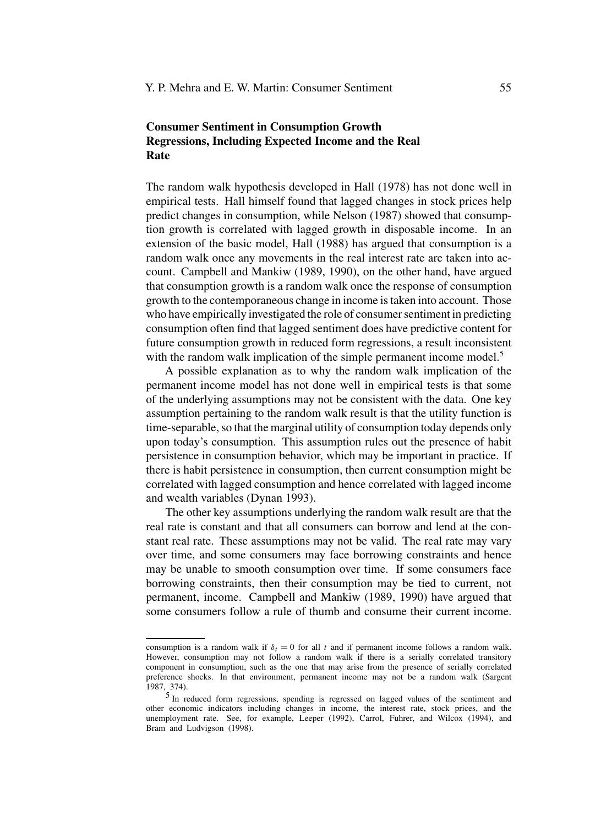# **Consumer Sentiment in Consumption Growth Regressions, Including Expected Income and the Real Rate**

The random walk hypothesis developed in Hall (1978) has not done well in empirical tests. Hall himself found that lagged changes in stock prices help predict changes in consumption, while Nelson (1987) showed that consumption growth is correlated with lagged growth in disposable income. In an extension of the basic model, Hall (1988) has argued that consumption is a random walk once any movements in the real interest rate are taken into account. Campbell and Mankiw (1989, 1990), on the other hand, have argued that consumption growth is a random walk once the response of consumption growth to the contemporaneous change in income is taken into account. Those who have empirically investigated the role of consumer sentiment in predicting consumption often find that lagged sentiment does have predictive content for future consumption growth in reduced form regressions, a result inconsistent with the random walk implication of the simple permanent income model.<sup>5</sup>

A possible explanation as to why the random walk implication of the permanent income model has not done well in empirical tests is that some of the underlying assumptions may not be consistent with the data. One key assumption pertaining to the random walk result is that the utility function is time-separable, so that the marginal utility of consumption today depends only upon today's consumption. This assumption rules out the presence of habit persistence in consumption behavior, which may be important in practice. If there is habit persistence in consumption, then current consumption might be correlated with lagged consumption and hence correlated with lagged income and wealth variables (Dynan 1993).

The other key assumptions underlying the random walk result are that the real rate is constant and that all consumers can borrow and lend at the constant real rate. These assumptions may not be valid. The real rate may vary over time, and some consumers may face borrowing constraints and hence may be unable to smooth consumption over time. If some consumers face borrowing constraints, then their consumption may be tied to current, not permanent, income. Campbell and Mankiw (1989, 1990) have argued that some consumers follow a rule of thumb and consume their current income.

consumption is a random walk if  $\delta_t = 0$  for all t and if permanent income follows a random walk. However, consumption may not follow a random walk if there is a serially correlated transitory component in consumption, such as the one that may arise from the presence of serially correlated preference shocks. In that environment, permanent income may not be a random walk (Sargent 1987, 374).

<sup>5</sup> In reduced form regressions, spending is regressed on lagged values of the sentiment and other economic indicators including changes in income, the interest rate, stock prices, and the unemployment rate. See, for example, Leeper (1992), Carrol, Fuhrer, and Wilcox (1994), and Bram and Ludvigson (1998).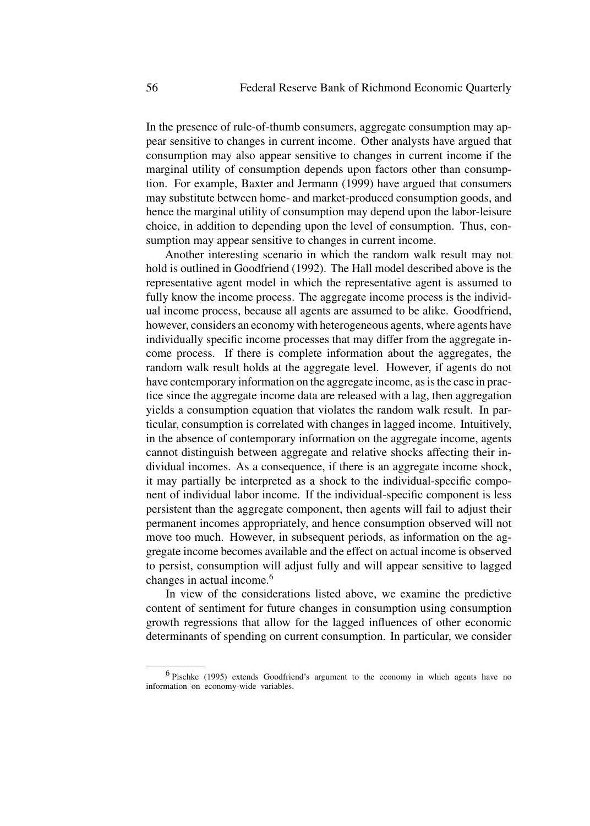In the presence of rule-of-thumb consumers, aggregate consumption may appear sensitive to changes in current income. Other analysts have argued that consumption may also appear sensitive to changes in current income if the marginal utility of consumption depends upon factors other than consumption. For example, Baxter and Jermann (1999) have argued that consumers may substitute between home- and market-produced consumption goods, and hence the marginal utility of consumption may depend upon the labor-leisure choice, in addition to depending upon the level of consumption. Thus, consumption may appear sensitive to changes in current income.

Another interesting scenario in which the random walk result may not hold is outlined in Goodfriend (1992). The Hall model described above is the representative agent model in which the representative agent is assumed to fully know the income process. The aggregate income process is the individual income process, because all agents are assumed to be alike. Goodfriend, however, considers an economy with heterogeneous agents, where agents have individually specific income processes that may differ from the aggregate income process. If there is complete information about the aggregates, the random walk result holds at the aggregate level. However, if agents do not have contemporary information on the aggregate income, as is the case in practice since the aggregate income data are released with a lag, then aggregation yields a consumption equation that violates the random walk result. In particular, consumption is correlated with changes in lagged income. Intuitively, in the absence of contemporary information on the aggregate income, agents cannot distinguish between aggregate and relative shocks affecting their individual incomes. As a consequence, if there is an aggregate income shock, it may partially be interpreted as a shock to the individual-specific component of individual labor income. If the individual-specific component is less persistent than the aggregate component, then agents will fail to adjust their permanent incomes appropriately, and hence consumption observed will not move too much. However, in subsequent periods, as information on the aggregate income becomes available and the effect on actual income is observed to persist, consumption will adjust fully and will appear sensitive to lagged changes in actual income.<sup>6</sup>

In view of the considerations listed above, we examine the predictive content of sentiment for future changes in consumption using consumption growth regressions that allow for the lagged influences of other economic determinants of spending on current consumption. In particular, we consider

<sup>6</sup> Pischke (1995) extends Goodfriend's argument to the economy in which agents have no information on economy-wide variables.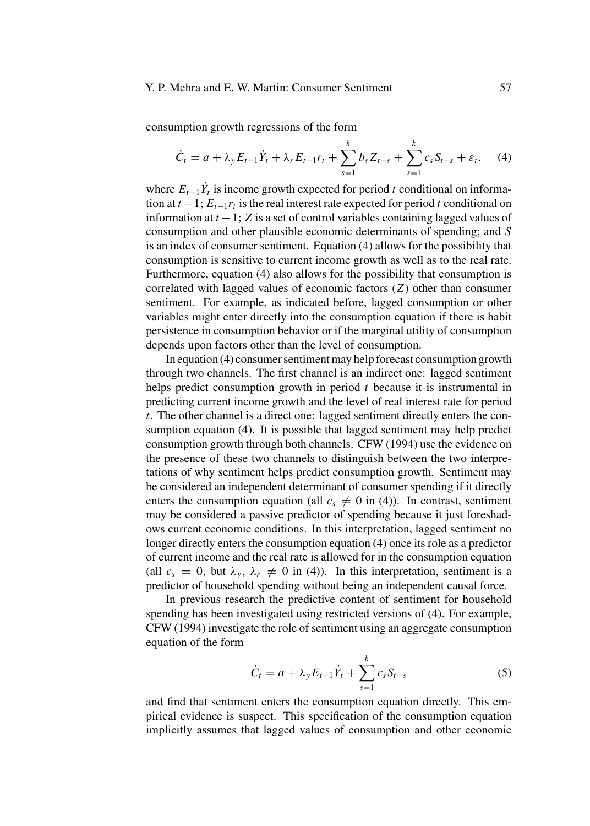#### Y. P. Mehra and E. W. Martin: Consumer Sentiment 57

consumption growth regressions of the form

$$
\dot{C}_t = a + \lambda_y E_{t-1} \dot{Y}_t + \lambda_r E_{t-1} r_t + \sum_{s=1}^k b_s Z_{t-s} + \sum_{s=1}^k c_s S_{t-s} + \varepsilon_t, \quad (4)
$$

where  $E_{t-1}Y_t$  is income growth expected for period *t* conditional on information at  $t - 1$ ;  $E_{t-1}r_t$  is the real interest rate expected for period  $t$  conditional on information at *t* −1; *Z* is a set of control variables containing lagged values of consumption and other plausible economic determinants of spending; and *S* is an index of consumer sentiment. Equation (4) allows for the possibility that consumption is sensitive to current income growth as well as to the real rate. Furthermore, equation (4) also allows for the possibility that consumption is correlated with lagged values of economic factors (*Z*) other than consumer sentiment. For example, as indicated before, lagged consumption or other variables might enter directly into the consumption equation if there is habit persistence in consumption behavior or if the marginal utility of consumption depends upon factors other than the level of consumption.

In equation (4) consumer sentiment may help forecast consumption growth through two channels. The first channel is an indirect one: lagged sentiment helps predict consumption growth in period *t* because it is instrumental in predicting current income growth and the level of real interest rate for period *t*. The other channel is a direct one: lagged sentiment directly enters the consumption equation (4). It is possible that lagged sentiment may help predict consumption growth through both channels. CFW (1994) use the evidence on the presence of these two channels to distinguish between the two interpretations of why sentiment helps predict consumption growth. Sentiment may be considered an independent determinant of consumer spending if it directly enters the consumption equation (all  $c_s \neq 0$  in (4)). In contrast, sentiment may be considered a passive predictor of spending because it just foreshadows current economic conditions. In this interpretation, lagged sentiment no longer directly enters the consumption equation (4) once its role as a predictor of current income and the real rate is allowed for in the consumption equation (all  $c_s = 0$ , but  $\lambda_v$ ,  $\lambda_r \neq 0$  in (4)). In this interpretation, sentiment is a predictor of household spending without being an independent causal force.

In previous research the predictive content of sentiment for household spending has been investigated using restricted versions of (4). For example, CFW (1994) investigate the role of sentiment using an aggregate consumption equation of the form

$$
\dot{C}_t = a + \lambda_y E_{t-1} \dot{Y}_t + \sum_{s=1}^k c_s S_{t-s}
$$
 (5)

and find that sentiment enters the consumption equation directly. This empirical evidence is suspect. This specification of the consumption equation implicitly assumes that lagged values of consumption and other economic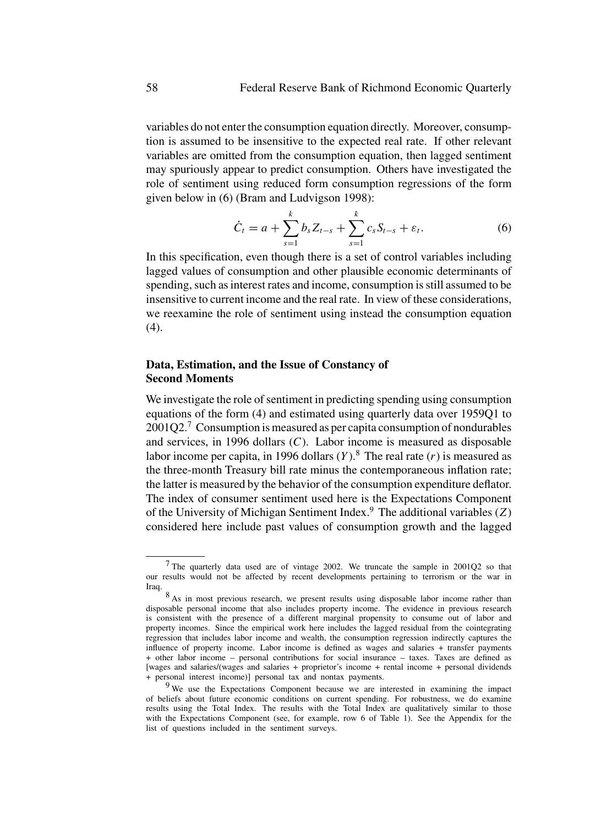variables do not enter the consumption equation directly. Moreover, consumption is assumed to be insensitive to the expected real rate. If other relevant variables are omitted from the consumption equation, then lagged sentiment may spuriously appear to predict consumption. Others have investigated the role of sentiment using reduced form consumption regressions of the form given below in (6) (Bram and Ludvigson 1998):

$$
\dot{C}_t = a + \sum_{s=1}^k b_s Z_{t-s} + \sum_{s=1}^k c_s S_{t-s} + \varepsilon_t.
$$
 (6)

In this specification, even though there is a set of control variables including lagged values of consumption and other plausible economic determinants of spending, such as interest rates and income, consumption is still assumed to be insensitive to current income and the real rate. In view of these considerations, we reexamine the role of sentiment using instead the consumption equation (4).

# **Data, Estimation, and the Issue of Constancy of Second Moments**

We investigate the role of sentiment in predicting spending using consumption equations of the form (4) and estimated using quarterly data over 1959Q1 to 2001Q2.7 Consumption is measured as per capita consumption of nondurables and services, in 1996 dollars (*C*). Labor income is measured as disposable labor income per capita, in 1996 dollars  $(Y)$ .<sup>8</sup> The real rate  $(r)$  is measured as the three-month Treasury bill rate minus the contemporaneous inflation rate; the latter is measured by the behavior of the consumption expenditure deflator. The index of consumer sentiment used here is the Expectations Component of the University of Michigan Sentiment Index.<sup>9</sup> The additional variables  $(Z)$ considered here include past values of consumption growth and the lagged

<sup>7</sup> The quarterly data used are of vintage 2002. We truncate the sample in 2001Q2 so that our results would not be affected by recent developments pertaining to terrorism or the war in Iraq.

<sup>&</sup>lt;sup>8</sup> As in most previous research, we present results using disposable labor income rather than disposable personal income that also includes property income. The evidence in previous research is consistent with the presence of a different marginal propensity to consume out of labor and property incomes. Since the empirical work here includes the lagged residual from the cointegrating regression that includes labor income and wealth, the consumption regression indirectly captures the influence of property income. Labor income is defined as wages and salaries + transfer payments + other labor income – personal contributions for social insurance – taxes. Taxes are defined as [wages and salaries/(wages and salaries + proprietor's income + rental income + personal dividends + personal interest income)] personal tax and nontax payments.

<sup>&</sup>lt;sup>9</sup> We use the Expectations Component because we are interested in examining the impact of beliefs about future economic conditions on current spending. For robustness, we do examine results using the Total Index. The results with the Total Index are qualitatively similar to those with the Expectations Component (see, for example, row 6 of Table 1). See the Appendix for the list of questions included in the sentiment surveys.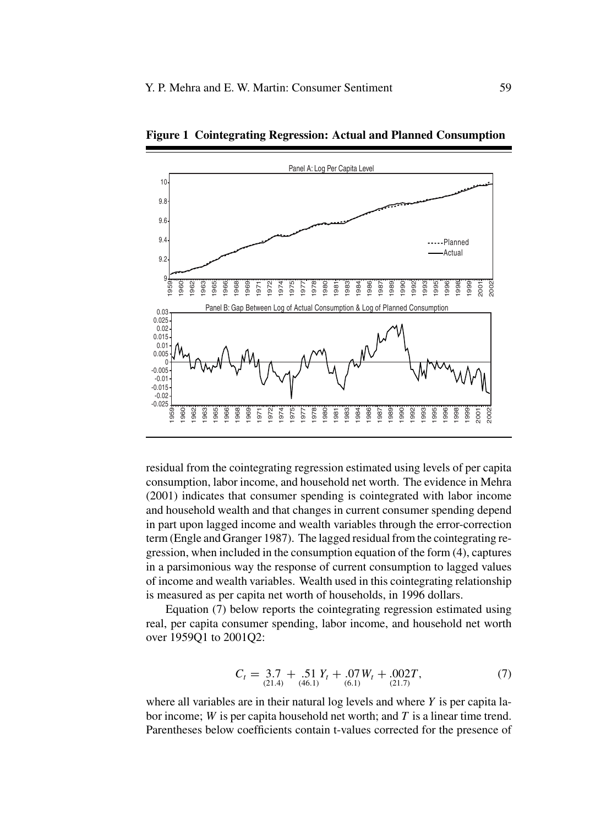

**Figure 1 Cointegrating Regression: Actual and Planned Consumption**

residual from the cointegrating regression estimated using levels of per capita consumption, labor income, and household net worth. The evidence in Mehra (2001) indicates that consumer spending is cointegrated with labor income and household wealth and that changes in current consumer spending depend in part upon lagged income and wealth variables through the error-correction term (Engle and Granger 1987). The lagged residual from the cointegrating regression, when included in the consumption equation of the form (4), captures in a parsimonious way the response of current consumption to lagged values of income and wealth variables. Wealth used in this cointegrating relationship is measured as per capita net worth of households, in 1996 dollars.

Equation (7) below reports the cointegrating regression estimated using real, per capita consumer spending, labor income, and household net worth over 1959Q1 to 2001Q2:

$$
C_t = 3.7 + .51 Y_t + .07 W_t + .002T,
$$
  
(7)  

$$
C_{t= (21.4)} + .61 Y_t + .002 T,
$$

where all variables are in their natural log levels and where *Y* is per capita labor income; *W* is per capita household net worth; and *T* is a linear time trend. Parentheses below coefficients contain t-values corrected for the presence of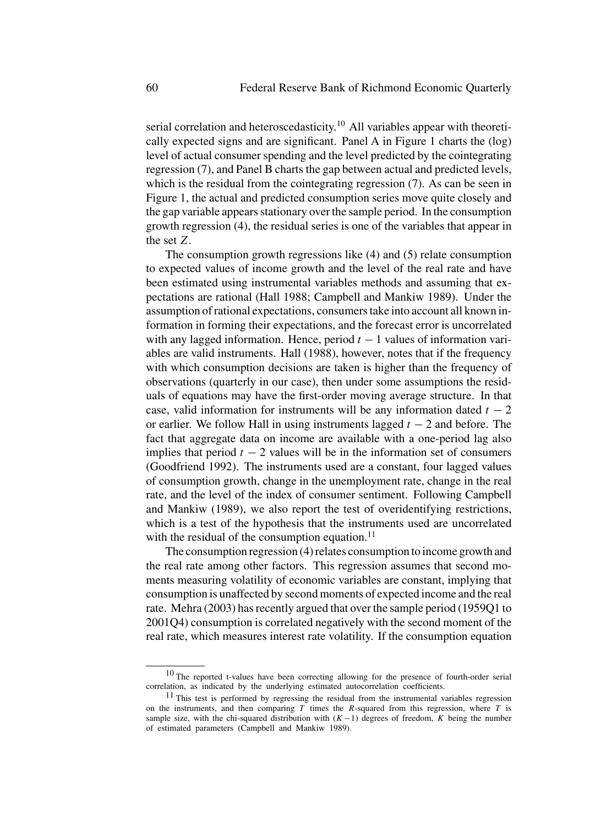serial correlation and heteroscedasticity.<sup>10</sup> All variables appear with theoretically expected signs and are significant. Panel A in Figure 1 charts the (log) level of actual consumer spending and the level predicted by the cointegrating regression (7), and Panel B charts the gap between actual and predicted levels, which is the residual from the cointegrating regression (7). As can be seen in Figure 1, the actual and predicted consumption series move quite closely and the gap variable appears stationary over the sample period. In the consumption growth regression (4), the residual series is one of the variables that appear in the set *Z*.

The consumption growth regressions like (4) and (5) relate consumption to expected values of income growth and the level of the real rate and have been estimated using instrumental variables methods and assuming that expectations are rational (Hall 1988; Campbell and Mankiw 1989). Under the assumption of rational expectations, consumers take into account all known information in forming their expectations, and the forecast error is uncorrelated with any lagged information. Hence, period  $t - 1$  values of information variables are valid instruments. Hall (1988), however, notes that if the frequency with which consumption decisions are taken is higher than the frequency of observations (quarterly in our case), then under some assumptions the residuals of equations may have the first-order moving average structure. In that case, valid information for instruments will be any information dated  $t - 2$ or earlier. We follow Hall in using instruments lagged *t* − 2 and before. The fact that aggregate data on income are available with a one-period lag also implies that period  $t - 2$  values will be in the information set of consumers (Goodfriend 1992). The instruments used are a constant, four lagged values of consumption growth, change in the unemployment rate, change in the real rate, and the level of the index of consumer sentiment. Following Campbell and Mankiw (1989), we also report the test of overidentifying restrictions, which is a test of the hypothesis that the instruments used are uncorrelated with the residual of the consumption equation. $11$ 

The consumption regression (4) relates consumption to income growth and the real rate among other factors. This regression assumes that second moments measuring volatility of economic variables are constant, implying that consumption is unaffected by second moments of expected income and the real rate. Mehra (2003) has recently argued that over the sample period (1959Q1 to 2001Q4) consumption is correlated negatively with the second moment of the real rate, which measures interest rate volatility. If the consumption equation

<sup>&</sup>lt;sup>10</sup> The reported t-values have been correcting allowing for the presence of fourth-order serial correlation, as indicated by the underlying estimated autocorrelation coefficients.

<sup>&</sup>lt;sup>11</sup> This test is performed by regressing the residual from the instrumental variables regression on the instruments, and then comparing *T* times the *R*-squared from this regression, where *T* is sample size, with the chi-squared distribution with  $(K-1)$  degrees of freedom, *K* being the number of estimated parameters (Campbell and Mankiw 1989).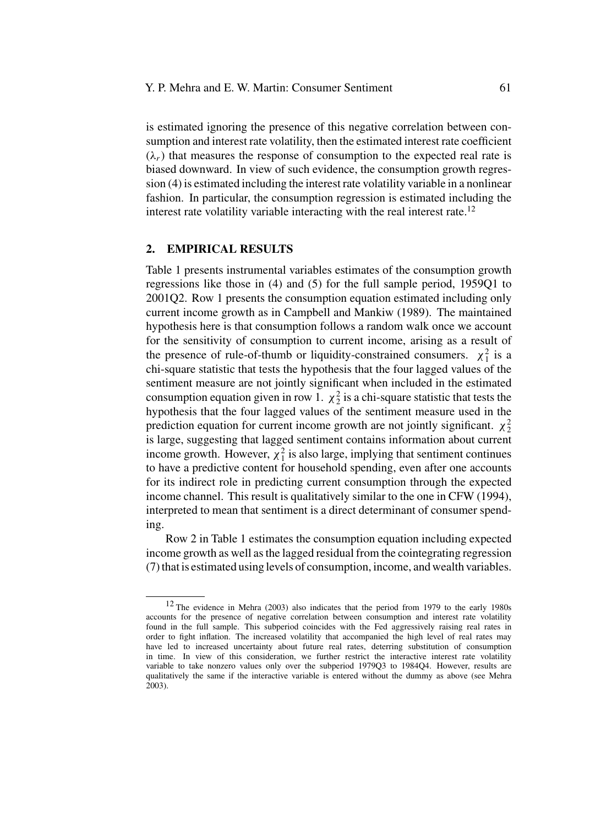is estimated ignoring the presence of this negative correlation between consumption and interest rate volatility, then the estimated interest rate coefficient  $(\lambda_r)$  that measures the response of consumption to the expected real rate is biased downward. In view of such evidence, the consumption growth regression (4) is estimated including the interest rate volatility variable in a nonlinear fashion. In particular, the consumption regression is estimated including the interest rate volatility variable interacting with the real interest rate.<sup>12</sup>

### **2. EMPIRICAL RESULTS**

Table 1 presents instrumental variables estimates of the consumption growth regressions like those in (4) and (5) for the full sample period, 1959Q1 to 2001Q2. Row 1 presents the consumption equation estimated including only current income growth as in Campbell and Mankiw (1989). The maintained hypothesis here is that consumption follows a random walk once we account for the sensitivity of consumption to current income, arising as a result of the presence of rule-of-thumb or liquidity-constrained consumers.  $\chi_1^2$  is a chi-square statistic that tests the hypothesis that the four lagged values of the sentiment measure are not jointly significant when included in the estimated consumption equation given in row 1.  $\chi^2$  is a chi-square statistic that tests the hypothesis that the four lagged values of the sentiment measure used in the prediction equation for current income growth are not jointly significant.  $\chi^2$ <sub>2</sub> is large, suggesting that lagged sentiment contains information about current income growth. However,  $\chi_1^2$  is also large, implying that sentiment continues to have a predictive content for household spending, even after one accounts for its indirect role in predicting current consumption through the expected income channel. This result is qualitatively similar to the one in CFW (1994), interpreted to mean that sentiment is a direct determinant of consumer spending.

Row 2 in Table 1 estimates the consumption equation including expected income growth as well as the lagged residual from the cointegrating regression (7) that is estimated using levels of consumption, income, and wealth variables.

<sup>12</sup> The evidence in Mehra (2003) also indicates that the period from 1979 to the early 1980s accounts for the presence of negative correlation between consumption and interest rate volatility found in the full sample. This subperiod coincides with the Fed aggressively raising real rates in order to fight inflation. The increased volatility that accompanied the high level of real rates may have led to increased uncertainty about future real rates, deterring substitution of consumption in time. In view of this consideration, we further restrict the interactive interest rate volatility variable to take nonzero values only over the subperiod 1979Q3 to 1984Q4. However, results are qualitatively the same if the interactive variable is entered without the dummy as above (see Mehra 2003).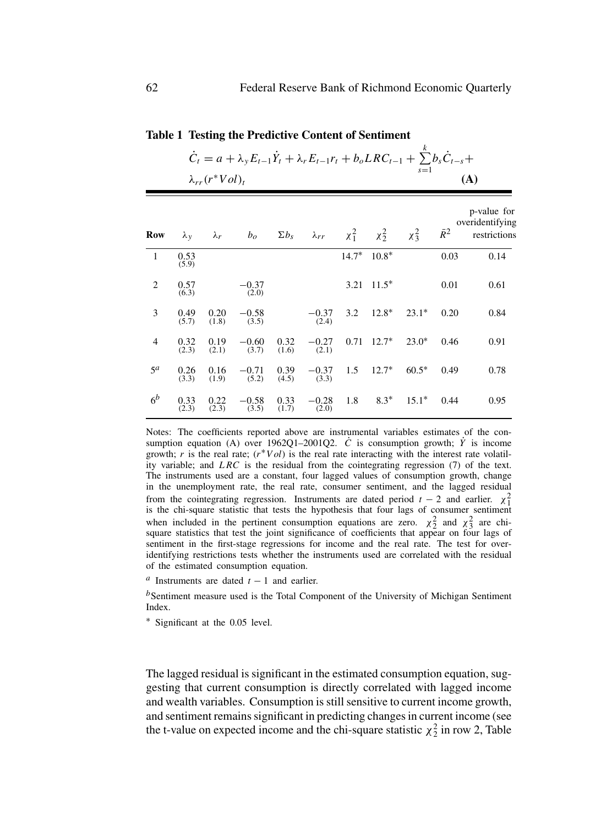*k*

|                | $C_t = a + \lambda_v E_{t-1} Y_t + \lambda_r E_{t-1} r_t + b_o L R C_{t-1} + \sum b_s C_{t-s} +$<br>$s = 1$<br>$\lambda_{rr}(r^*Vol)_t$ |               |                                |               |                  |      |                 |            |             | (A)                                            |  |
|----------------|-----------------------------------------------------------------------------------------------------------------------------------------|---------------|--------------------------------|---------------|------------------|------|-----------------|------------|-------------|------------------------------------------------|--|
| Row            | $\lambda_{\rm V}$                                                                                                                       |               | $\lambda_r$ $b_o$ $\Sigma b_s$ |               | $\lambda_{rr}$   |      | $x_1^2$ $x_2^2$ | $\chi^2_3$ | $\bar{R}^2$ | p-value for<br>overidentifying<br>restrictions |  |
| $\mathbf{1}$   | 0.53<br>(5.9)                                                                                                                           |               |                                |               |                  |      | $14.7^*$ 10.8*  |            | 0.03        | 0.14                                           |  |
| 2              | 0.57<br>(6.3)                                                                                                                           |               | $-0.37$<br>(2.0)               |               |                  | 3.21 | $11.5*$         |            | 0.01        | 0.61                                           |  |
| 3              | 0.49<br>(5.7)                                                                                                                           | 0.20<br>(1.8) | $-0.58$<br>(3.5)               |               | $-0.37$<br>(2.4) | 3.2  | $12.8*$         | $23.1*$    | 0.20        | 0.84                                           |  |
| $\overline{4}$ | 0.32<br>(2.3)                                                                                                                           | 0.19<br>(2.1) | $-0.60$<br>(3.7)               | 0.32<br>(1.6) | $-0.27$<br>(2.1) | 0.71 | $12.7*$         | $23.0*$    | 0.46        | 0.91                                           |  |
| $5^{\alpha}$   | 0.26<br>(3.3)                                                                                                                           | 0.16<br>(1.9) | $-0.71$<br>(5.2)               | 0.39<br>(4.5) | $-0.37$<br>(3.3) | 1.5  | $12.7*$         | $60.5*$    | 0.49        | 0.78                                           |  |
| 6 <sup>b</sup> | 0.33<br>(2.3)                                                                                                                           | 0.22<br>(2.3) | $-0.58$<br>(3.5)               | 0.33<br>(1.7) | $-0.28$<br>(2.0) | 1.8  | $8.3*$          | $15.1*$    | 0.44        | 0.95                                           |  |

### **Table 1 Testing the Predictive Content of Sentiment**

Notes: The coefficients reported above are instrumental variables estimates of the consumption equation (A) over  $1962Q1-2001Q2$ . *C* is consumption growth;  $\dot{Y}$  is income growth; *r* is the real rate;  $(r * Vol)$  is the real rate interacting with the interest rate volatility variable; and *LRC* is the residual from the cointegrating regression (7) of the text. The instruments used are a constant, four lagged values of consumption growth, change in the unemployment rate, the real rate, consumer sentiment, and the lagged residual from the cointegrating regression. Instruments are dated period  $t - 2$  and earlier.  $\chi_1^2$ is the chi-square statistic that tests the hypothesis that four lags of consumer sentiment when included in the pertinent consumption equations are zero.  $\chi^2$  and  $\chi^2$  are chi-square statistics that test the joint significance of coefficients that appear on four lags of sentiment in the first-stage regressions for income and the real rate. The test for overidentifying restrictions tests whether the instruments used are correlated with the residual of the estimated consumption equation.

*<sup>a</sup>* Instruments are dated *<sup>t</sup>* <sup>−</sup> 1 and earlier.

*b*Sentiment measure used is the Total Component of the University of Michigan Sentiment Index.

∗ Significant at the 0.05 level.

The lagged residual is significant in the estimated consumption equation, suggesting that current consumption is directly correlated with lagged income and wealth variables. Consumption is still sensitive to current income growth, and sentiment remains significant in predicting changes in current income (see the t-value on expected income and the chi-square statistic  $\chi^2$  in row 2, Table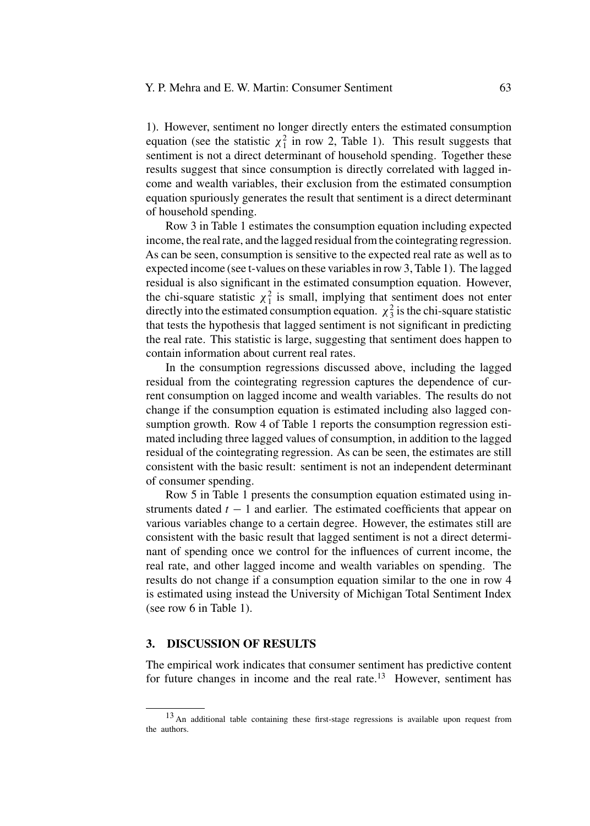1). However, sentiment no longer directly enters the estimated consumption equation (see the statistic  $\chi_1^2$  in row 2, Table 1). This result suggests that sentiment is not a direct determinant of household spending. Together these results suggest that since consumption is directly correlated with lagged income and wealth variables, their exclusion from the estimated consumption equation spuriously generates the result that sentiment is a direct determinant of household spending.

Row 3 in Table 1 estimates the consumption equation including expected income, the real rate, and the lagged residual from the cointegrating regression. As can be seen, consumption is sensitive to the expected real rate as well as to expected income (see t-values on these variables in row 3, Table 1). The lagged residual is also significant in the estimated consumption equation. However, the chi-square statistic  $\chi_1^2$  is small, implying that sentiment does not enter directly into the estimated consumption equation.  $\chi^2$  is the chi-square statistic that tests the hypothesis that lagged sentiment is not significant in predicting the real rate. This statistic is large, suggesting that sentiment does happen to contain information about current real rates.

In the consumption regressions discussed above, including the lagged residual from the cointegrating regression captures the dependence of current consumption on lagged income and wealth variables. The results do not change if the consumption equation is estimated including also lagged consumption growth. Row 4 of Table 1 reports the consumption regression estimated including three lagged values of consumption, in addition to the lagged residual of the cointegrating regression. As can be seen, the estimates are still consistent with the basic result: sentiment is not an independent determinant of consumer spending.

Row 5 in Table 1 presents the consumption equation estimated using instruments dated  $t - 1$  and earlier. The estimated coefficients that appear on various variables change to a certain degree. However, the estimates still are consistent with the basic result that lagged sentiment is not a direct determinant of spending once we control for the influences of current income, the real rate, and other lagged income and wealth variables on spending. The results do not change if a consumption equation similar to the one in row 4 is estimated using instead the University of Michigan Total Sentiment Index (see row 6 in Table 1).

## **3. DISCUSSION OF RESULTS**

The empirical work indicates that consumer sentiment has predictive content for future changes in income and the real rate.<sup>13</sup> However, sentiment has

<sup>&</sup>lt;sup>13</sup> An additional table containing these first-stage regressions is available upon request from the authors.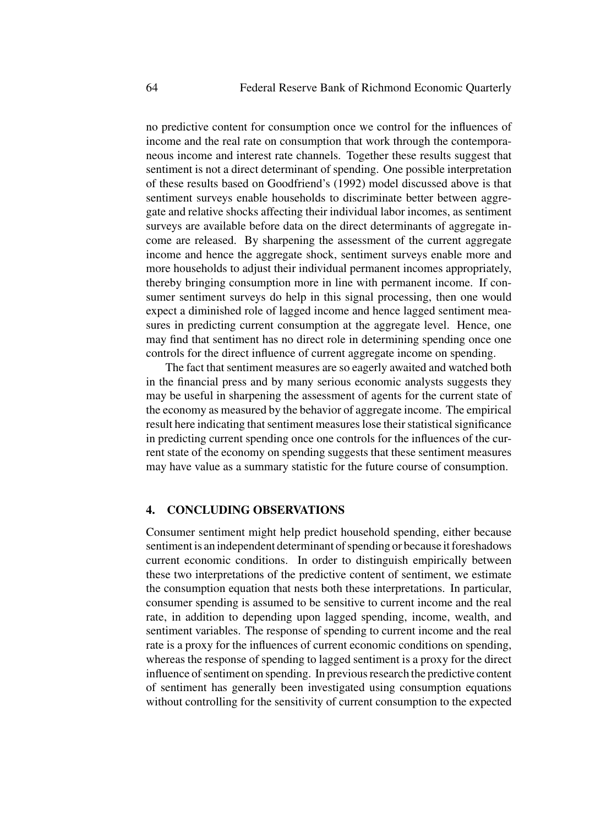no predictive content for consumption once we control for the influences of income and the real rate on consumption that work through the contemporaneous income and interest rate channels. Together these results suggest that sentiment is not a direct determinant of spending. One possible interpretation of these results based on Goodfriend's (1992) model discussed above is that sentiment surveys enable households to discriminate better between aggregate and relative shocks affecting their individual labor incomes, as sentiment surveys are available before data on the direct determinants of aggregate income are released. By sharpening the assessment of the current aggregate income and hence the aggregate shock, sentiment surveys enable more and more households to adjust their individual permanent incomes appropriately, thereby bringing consumption more in line with permanent income. If consumer sentiment surveys do help in this signal processing, then one would expect a diminished role of lagged income and hence lagged sentiment measures in predicting current consumption at the aggregate level. Hence, one may find that sentiment has no direct role in determining spending once one controls for the direct influence of current aggregate income on spending.

The fact that sentiment measures are so eagerly awaited and watched both in the financial press and by many serious economic analysts suggests they may be useful in sharpening the assessment of agents for the current state of the economy as measured by the behavior of aggregate income. The empirical result here indicating that sentiment measures lose their statistical significance in predicting current spending once one controls for the influences of the current state of the economy on spending suggests that these sentiment measures may have value as a summary statistic for the future course of consumption.

## **4. CONCLUDING OBSERVATIONS**

Consumer sentiment might help predict household spending, either because sentiment is an independent determinant of spending or because it foreshadows current economic conditions. In order to distinguish empirically between these two interpretations of the predictive content of sentiment, we estimate the consumption equation that nests both these interpretations. In particular, consumer spending is assumed to be sensitive to current income and the real rate, in addition to depending upon lagged spending, income, wealth, and sentiment variables. The response of spending to current income and the real rate is a proxy for the influences of current economic conditions on spending, whereas the response of spending to lagged sentiment is a proxy for the direct influence of sentiment on spending. In previous research the predictive content of sentiment has generally been investigated using consumption equations without controlling for the sensitivity of current consumption to the expected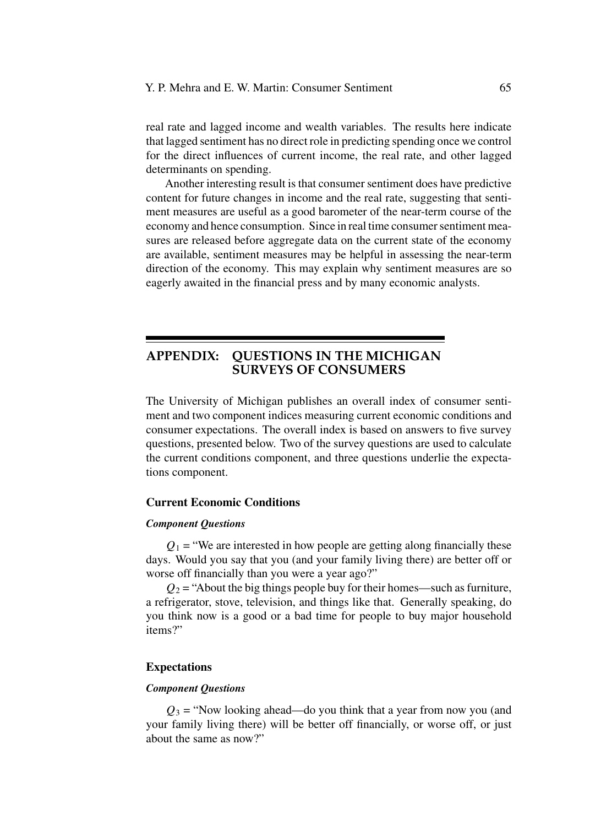real rate and lagged income and wealth variables. The results here indicate that lagged sentiment has no direct role in predicting spending once we control for the direct influences of current income, the real rate, and other lagged determinants on spending.

Another interesting result is that consumer sentiment does have predictive content for future changes in income and the real rate, suggesting that sentiment measures are useful as a good barometer of the near-term course of the economy and hence consumption. Since in real time consumer sentiment measures are released before aggregate data on the current state of the economy are available, sentiment measures may be helpful in assessing the near-term direction of the economy. This may explain why sentiment measures are so eagerly awaited in the financial press and by many economic analysts.

# **APPENDIX: QUESTIONS IN THE MICHIGAN SURVEYS OF CONSUMERS**

The University of Michigan publishes an overall index of consumer sentiment and two component indices measuring current economic conditions and consumer expectations. The overall index is based on answers to five survey questions, presented below. Two of the survey questions are used to calculate the current conditions component, and three questions underlie the expectations component.

## **Current Economic Conditions**

## *Component Questions*

 $Q_1$  = "We are interested in how people are getting along financially these days. Would you say that you (and your family living there) are better off or worse off financially than you were a year ago?"

 $Q_2$  = "About the big things people buy for their homes—such as furniture, a refrigerator, stove, television, and things like that. Generally speaking, do you think now is a good or a bad time for people to buy major household items?"

### **Expectations**

#### *Component Questions*

 $Q_3$  = "Now looking ahead—do you think that a year from now you (and your family living there) will be better off financially, or worse off, or just about the same as now?"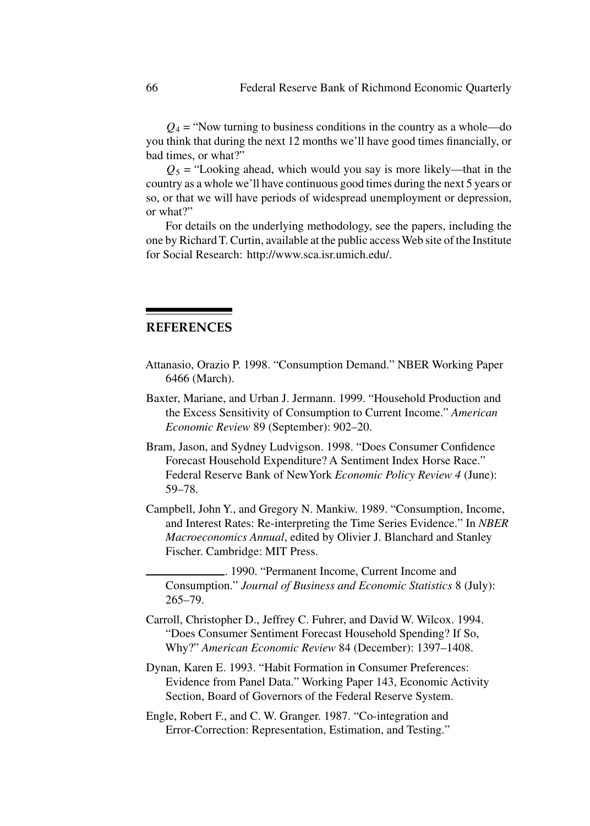$Q_4$  = "Now turning to business conditions in the country as a whole—do you think that during the next 12 months we'll have good times financially, or bad times, or what?"

 $Q_5$  = "Looking ahead, which would you say is more likely—that in the country as a whole we'll have continuous good times during the next 5 years or so, or that we will have periods of widespread unemployment or depression, or what?"

For details on the underlying methodology, see the papers, including the one by Richard T. Curtin, available at the public access Web site of the Institute for Social Research: http://www.sca.isr.umich.edu/.

# **REFERENCES**

- Attanasio, Orazio P. 1998. "Consumption Demand." NBER Working Paper 6466 (March).
- Baxter, Mariane, and Urban J. Jermann. 1999. "Household Production and the Excess Sensitivity of Consumption to Current Income." *American Economic Review* 89 (September): 902–20.
- Bram, Jason, and Sydney Ludvigson. 1998. "Does Consumer Confidence Forecast Household Expenditure? A Sentiment Index Horse Race." Federal Reserve Bank of NewYork *Economic Policy Review 4* (June): 59–78.
- Campbell, John Y., and Gregory N. Mankiw. 1989. "Consumption, Income, and Interest Rates: Re-interpreting the Time Series Evidence." In *NBER Macroeconomics Annual*, edited by Olivier J. Blanchard and Stanley Fischer. Cambridge: MIT Press.

. 1990. "Permanent Income, Current Income and Consumption." *Journal of Business and Economic Statistics* 8 (July): 265–79.

- Carroll, Christopher D., Jeffrey C. Fuhrer, and David W. Wilcox. 1994. "Does Consumer Sentiment Forecast Household Spending? If So, Why?" *American Economic Review* 84 (December): 1397–1408.
- Dynan, Karen E. 1993. "Habit Formation in Consumer Preferences: Evidence from Panel Data." Working Paper 143, Economic Activity Section, Board of Governors of the Federal Reserve System.
- Engle, Robert F., and C. W. Granger. 1987. "Co-integration and Error-Correction: Representation, Estimation, and Testing."